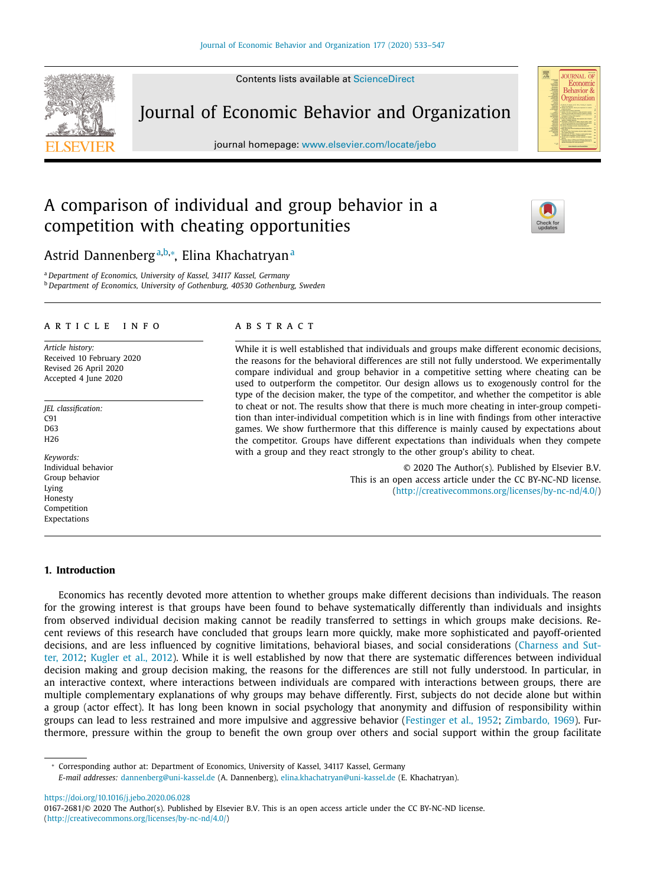Contents lists available at [ScienceDirect](http://www.ScienceDirect.com)

Journal of Economic Behavior and Organization

journal homepage: [www.elsevier.com/locate/jebo](http://www.elsevier.com/locate/jebo)

# A comparison of individual and group behavior in a competition with cheating opportunities

## Astrid Dannenbergª<sup>,b,</sup>\*, Elina Khachatryanª

<sup>a</sup> *Department of Economics, University of Kassel, 34117 Kassel, Germany* <sup>b</sup> *Department of Economics, University of Gothenburg, 40530 Gothenburg, Sweden*

## a r t i c l e i n f o

*Article history:* Received 10 February 2020 Revised 26 April 2020 Accepted 4 June 2020

*JEL classification:*  $C91$ D63 H26

*Keywords:* Individual behavior Group behavior Lying Honesty Competition Expectations

## A B S T R A C T

While it is well established that individuals and groups make different economic decisions, the reasons for the behavioral differences are still not fully understood. We experimentally compare individual and group behavior in a competitive setting where cheating can be used to outperform the competitor. Our design allows us to exogenously control for the type of the decision maker, the type of the competitor, and whether the competitor is able to cheat or not. The results show that there is much more cheating in inter-group competition than inter-individual competition which is in line with findings from other interactive games. We show furthermore that this difference is mainly caused by expectations about the competitor. Groups have different expectations than individuals when they compete with a group and they react strongly to the other group's ability to cheat.

> © 2020 The Author(s). Published by Elsevier B.V. This is an open access article under the CC BY-NC-ND license. [\(http://creativecommons.org/licenses/by-nc-nd/4.0/\)](http://creativecommons.org/licenses/by-nc-nd/4.0/)

## **1. Introduction**

Economics has recently devoted more attention to whether groups make different decisions than individuals. The reason for the growing interest is that groups have been found to behave systematically differently than individuals and insights from observed individual decision making cannot be readily transferred to settings in which groups make decisions. Recent reviews of this research have concluded that groups learn more quickly, make more sophisticated and payoff-oriented decisions, and are less influenced by cognitive limitations, behavioral biases, and social [considerations](#page-12-0) (Charness and Sutter, 2012; [Kugler](#page-13-0) et al., 2012). While it is well established by now that there are systematic differences between individual decision making and group decision making, the reasons for the differences are still not fully understood. In particular, in an interactive context, where interactions between individuals are compared with interactions between groups, there are multiple complementary explanations of why groups may behave differently. First, subjects do not decide alone but within a group (actor effect). It has long been known in social psychology that anonymity and diffusion of responsibility within groups can lead to less restrained and more impulsive and aggressive behavior [\(Festinger](#page-13-0) et al., 1952; [Zimbardo,](#page-14-0) 1969). Furthermore, pressure within the group to benefit the own group over others and social support within the group facilitate

<sup>∗</sup> Corresponding author at: Department of Economics, University of Kassel, 34117 Kassel, Germany

*E-mail addresses:* [dannenberg@uni-kassel.de](mailto:dannenberg@uni-kassel.de) (A. Dannenberg), [elina.khachatryan@uni-kassel.de](mailto:elina.khachatryan@uni-kassel.de) (E. Khachatryan).

<https://doi.org/10.1016/j.jebo.2020.06.028>







<sup>0167-2681/© 2020</sup> The Author(s). Published by Elsevier B.V. This is an open access article under the CC BY-NC-ND license. [\(http://creativecommons.org/licenses/by-nc-nd/4.0/\)](http://creativecommons.org/licenses/by-nc-nd/4.0/)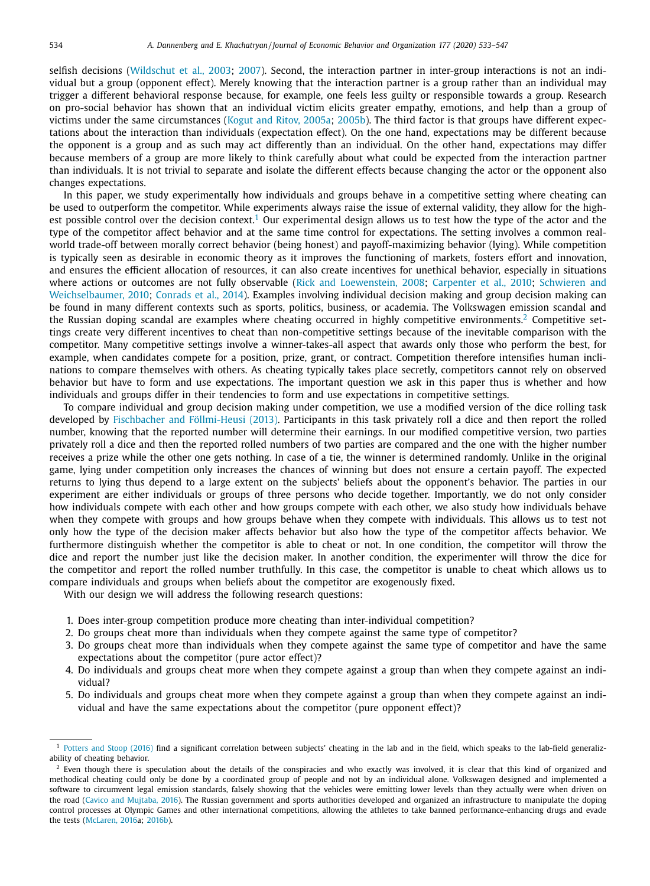selfish decisions [\(Wildschut](#page-14-0) et al., 2003; [2007\)](#page-13-0). Second, the interaction partner in inter-group interactions is not an individual but a group (opponent effect). Merely knowing that the interaction partner is a group rather than an individual may trigger a different behavioral response because, for example, one feels less guilty or responsible towards a group. Research on pro-social behavior has shown that an individual victim elicits greater empathy, emotions, and help than a group of victims under the same circumstances (Kogut and Ritov, [2005a;](#page-13-0) [2005b\)](#page-13-0). The third factor is that groups have different expectations about the interaction than individuals (expectation effect). On the one hand, expectations may be different because the opponent is a group and as such may act differently than an individual. On the other hand, expectations may differ because members of a group are more likely to think carefully about what could be expected from the interaction partner than individuals. It is not trivial to separate and isolate the different effects because changing the actor or the opponent also changes expectations.

In this paper, we study experimentally how individuals and groups behave in a competitive setting where cheating can be used to outperform the competitor. While experiments always raise the issue of external validity, they allow for the highest possible control over the decision context.<sup>1</sup> Our experimental design allows us to test how the type of the actor and the type of the competitor affect behavior and at the same time control for expectations. The setting involves a common realworld trade-off between morally correct behavior (being honest) and payoff-maximizing behavior (lying). While competition is typically seen as desirable in economic theory as it improves the functioning of markets, fosters effort and innovation, and ensures the efficient allocation of resources, it can also create incentives for unethical behavior, especially in situations where actions or outcomes are not fully observable (Rick and [Loewenstein,](#page-13-0) 2008; [Carpenter](#page-12-0) et al., 2010; Schwieren and [Weichselbaumer,](#page-13-0) 2010; [Conrads](#page-13-0) et al., 2014). Examples involving individual decision making and group decision making can be found in many different contexts such as sports, politics, business, or academia. The Volkswagen emission scandal and the Russian doping scandal are examples where cheating occurred in highly competitive environments.<sup>2</sup> Competitive settings create very different incentives to cheat than non-competitive settings because of the inevitable comparison with the competitor. Many competitive settings involve a winner-takes-all aspect that awards only those who perform the best, for example, when candidates compete for a position, prize, grant, or contract. Competition therefore intensifies human inclinations to compare themselves with others. As cheating typically takes place secretly, competitors cannot rely on observed behavior but have to form and use expectations. The important question we ask in this paper thus is whether and how individuals and groups differ in their tendencies to form and use expectations in competitive settings.

To compare individual and group decision making under competition, we use a modified version of the dice rolling task developed by Fischbacher and [Föllmi-Heusi](#page-13-0) (2013). Participants in this task privately roll a dice and then report the rolled number, knowing that the reported number will determine their earnings. In our modified competitive version, two parties privately roll a dice and then the reported rolled numbers of two parties are compared and the one with the higher number receives a prize while the other one gets nothing. In case of a tie, the winner is determined randomly. Unlike in the original game, lying under competition only increases the chances of winning but does not ensure a certain payoff. The expected returns to lying thus depend to a large extent on the subjects' beliefs about the opponent's behavior. The parties in our experiment are either individuals or groups of three persons who decide together. Importantly, we do not only consider how individuals compete with each other and how groups compete with each other, we also study how individuals behave when they compete with groups and how groups behave when they compete with individuals. This allows us to test not only how the type of the decision maker affects behavior but also how the type of the competitor affects behavior. We furthermore distinguish whether the competitor is able to cheat or not. In one condition, the competitor will throw the dice and report the number just like the decision maker. In another condition, the experimenter will throw the dice for the competitor and report the rolled number truthfully. In this case, the competitor is unable to cheat which allows us to compare individuals and groups when beliefs about the competitor are exogenously fixed.

With our design we will address the following research questions:

- 1. Does inter-group competition produce more cheating than inter-individual competition?
- 2. Do groups cheat more than individuals when they compete against the same type of competitor?
- 3. Do groups cheat more than individuals when they compete against the same type of competitor and have the same expectations about the competitor (pure actor effect)?
- 4. Do individuals and groups cheat more when they compete against a group than when they compete against an individual?
- 5. Do individuals and groups cheat more when they compete against a group than when they compete against an individual and have the same expectations about the competitor (pure opponent effect)?

<sup>&</sup>lt;sup>1</sup> [Potters](#page-13-0) and Stoop (2016) find a significant correlation between subjects' cheating in the lab and in the field, which speaks to the lab-field generalizability of cheating behavior.

<sup>&</sup>lt;sup>2</sup> Even though there is speculation about the details of the conspiracies and who exactly was involved, it is clear that this kind of organized and methodical cheating could only be done by a coordinated group of people and not by an individual alone. Volkswagen designed and implemented a software to circumvent legal emission standards, falsely showing that the vehicles were emitting lower levels than they actually were when driven on the road (Cavico and [Mujtaba,](#page-12-0) 2016). The Russian government and sports authorities developed and organized an infrastructure to manipulate the doping control processes at Olympic Games and other international competitions, allowing the athletes to take banned performance-enhancing drugs and evade the tests [\(McLaren,](#page-13-0) 2016a; [2016b\)](#page-13-0).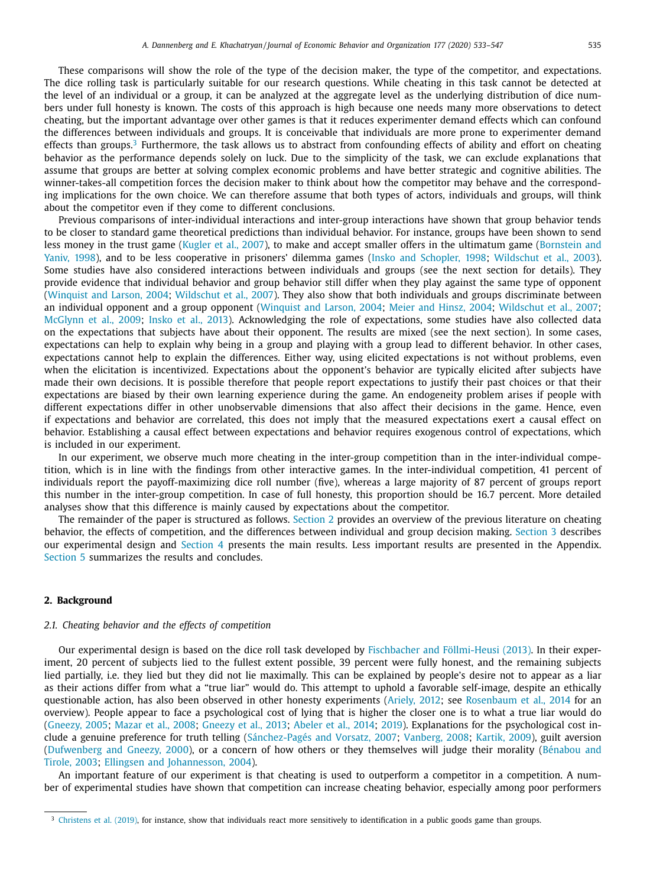These comparisons will show the role of the type of the decision maker, the type of the competitor, and expectations. The dice rolling task is particularly suitable for our research questions. While cheating in this task cannot be detected at the level of an individual or a group, it can be analyzed at the aggregate level as the underlying distribution of dice numbers under full honesty is known. The costs of this approach is high because one needs many more observations to detect cheating, but the important advantage over other games is that it reduces experimenter demand effects which can confound the differences between individuals and groups. It is conceivable that individuals are more prone to experimenter demand effects than groups.<sup>3</sup> Furthermore, the task allows us to abstract from confounding effects of ability and effort on cheating behavior as the performance depends solely on luck. Due to the simplicity of the task, we can exclude explanations that assume that groups are better at solving complex economic problems and have better strategic and cognitive abilities. The winner-takes-all competition forces the decision maker to think about how the competitor may behave and the corresponding implications for the own choice. We can therefore assume that both types of actors, individuals and groups, will think about the competitor even if they come to different conclusions.

Previous comparisons of inter-individual interactions and inter-group interactions have shown that group behavior tends to be closer to standard game theoretical predictions than individual behavior. For instance, groups have been shown to send less money in the trust game [\(Kugler](#page-13-0) et al., 2007), to make and accept smaller offers in the ultimatum game (Bornstein and Yaniv, 1998), and to be less [cooperative](#page-12-0) in prisoners' dilemma games (Insko and [Schopler,](#page-13-0) 1998; [Wildschut](#page-14-0) et al., 2003). Some studies have also considered interactions between individuals and groups (see the next section for details). They provide evidence that individual behavior and group behavior still differ when they play against the same type of opponent [\(Winquist](#page-14-0) and Larson, 2004; [Wildschut](#page-13-0) et al., 2007). They also show that both individuals and groups discriminate between an individual opponent and a group opponent [\(Winquist](#page-14-0) and Larson, 2004; Meier and [Hinsz,](#page-13-0) 2004; [Wildschut](#page-13-0) et al., 2007; [McGlynn](#page-13-0) et al., 2009; [Insko](#page-13-0) et al., 2013). Acknowledging the role of expectations, some studies have also collected data on the expectations that subjects have about their opponent. The results are mixed (see the next section). In some cases, expectations can help to explain why being in a group and playing with a group lead to different behavior. In other cases, expectations cannot help to explain the differences. Either way, using elicited expectations is not without problems, even when the elicitation is incentivized. Expectations about the opponent's behavior are typically elicited after subjects have made their own decisions. It is possible therefore that people report expectations to justify their past choices or that their expectations are biased by their own learning experience during the game. An endogeneity problem arises if people with different expectations differ in other unobservable dimensions that also affect their decisions in the game. Hence, even if expectations and behavior are correlated, this does not imply that the measured expectations exert a causal effect on behavior. Establishing a causal effect between expectations and behavior requires exogenous control of expectations, which is included in our experiment.

In our experiment, we observe much more cheating in the inter-group competition than in the inter-individual competition, which is in line with the findings from other interactive games. In the inter-individual competition, 41 percent of individuals report the payoff-maximizing dice roll number (five), whereas a large majority of 87 percent of groups report this number in the inter-group competition. In case of full honesty, this proportion should be 16.7 percent. More detailed analyses show that this difference is mainly caused by expectations about the competitor.

The remainder of the paper is structured as follows. Section 2 provides an overview of the previous literature on cheating behavior, the effects of competition, and the differences between individual and group decision making. [Section](#page-4-0) 3 describes our experimental design and [Section](#page-6-0) 4 presents the main results. Less important results are presented in the Appendix. [Section](#page-11-0) 5 summarizes the results and concludes.

## **2. Background**

## *2.1. Cheating behavior and the effects of competition*

Our experimental design is based on the dice roll task developed by Fischbacher and [Föllmi-Heusi](#page-13-0) (2013). In their experiment, 20 percent of subjects lied to the fullest extent possible, 39 percent were fully honest, and the remaining subjects lied partially, i.e. they lied but they did not lie maximally. This can be explained by people's desire not to appear as a liar as their actions differ from what a "true liar" would do. This attempt to uphold a favorable self-image, despite an ethically questionable action, has also been observed in other honesty experiments [\(Ariely,](#page-12-0) 2012; see [Rosenbaum](#page-13-0) et al., 2014 for an overview). People appear to face a psychological cost of lying that is higher the closer one is to what a true liar would do [\(Gneezy,](#page-13-0) 2005; [Mazar](#page-13-0) et al., 2008; [Gneezy](#page-13-0) et al., 2013; [Abeler](#page-12-0) et al., 2014; [2019\)](#page-12-0). Explanations for the psychological cost include a genuine preference for truth telling [\(Sánchez-Pagés](#page-13-0) and Vorsatz, 2007; [Vanberg,](#page-13-0) 2008; [Kartik,](#page-13-0) 2009), guilt aversion [\(](#page-12-0)[Dufwenberg](#page-13-0) and Gneezy, 2000), or a concern of how others or they themselves will judge their morality (Bénabou and Tirole, 2003; Ellingsen and [Johannesson,](#page-13-0) 2004).

An important feature of our experiment is that cheating is used to outperform a competitor in a competition. A number of experimental studies have shown that competition can increase cheating behavior, especially among poor performers

<sup>&</sup>lt;sup>3</sup> [Christens](#page-13-0) et al. (2019), for instance, show that individuals react more sensitively to identification in a public goods game than groups.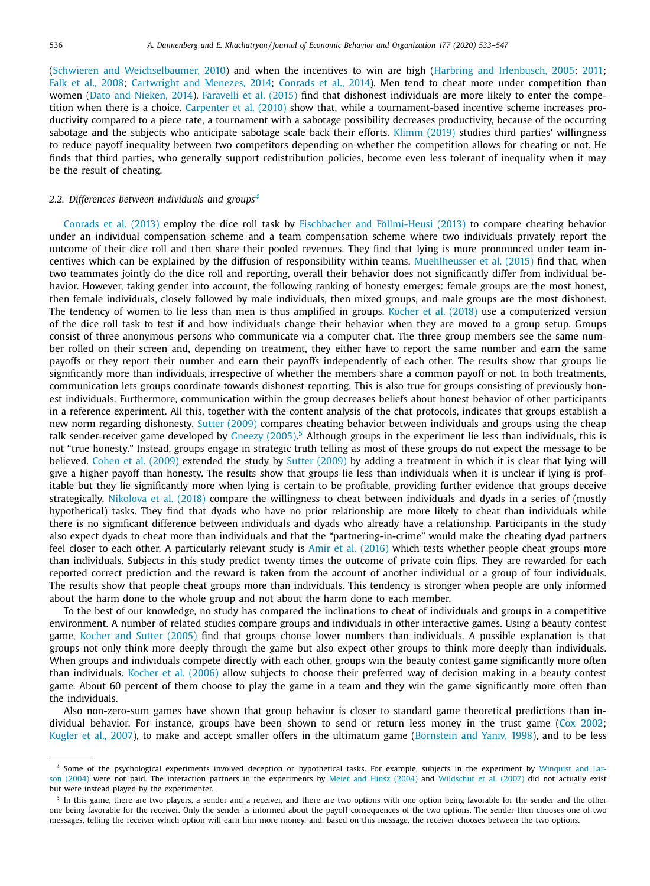(Schwieren and [Weichselbaumer,](#page-13-0) 2010) and when the incentives to win are high (Harbring and [Irlenbusch,](#page-13-0) 2005; [2011;](#page-13-0) Falk et al., [2008;](#page-13-0) [Cartwright](#page-12-0) and Menezes, 2014; [Conrads](#page-13-0) et al., 2014). Men tend to cheat more under competition than women (Dato and [Nieken,](#page-13-0) 2014). [Faravelli](#page-13-0) et al. (2015) find that dishonest individuals are more likely to enter the competition when there is a choice. [Carpenter](#page-12-0) et al. (2010) show that, while a tournament-based incentive scheme increases productivity compared to a piece rate, a tournament with a sabotage possibility decreases productivity, because of the occurring sabotage and the subjects who anticipate sabotage scale back their efforts. [Klimm](#page-13-0) (2019) studies third parties' willingness to reduce payoff inequality between two competitors depending on whether the competition allows for cheating or not. He finds that third parties, who generally support redistribution policies, become even less tolerant of inequality when it may be the result of cheating.

### *2.2. Differences between individuals and groups<sup>4</sup>*

[Conrads](#page-13-0) et al. (2013) employ the dice roll task by Fischbacher and [Föllmi-Heusi](#page-13-0) (2013) to compare cheating behavior under an individual compensation scheme and a team compensation scheme where two individuals privately report the outcome of their dice roll and then share their pooled revenues. They find that lying is more pronounced under team incentives which can be explained by the diffusion of responsibility within teams. [Muehlheusser](#page-13-0) et al. (2015) find that, when two teammates jointly do the dice roll and reporting, overall their behavior does not significantly differ from individual behavior. However, taking gender into account, the following ranking of honesty emerges: female groups are the most honest, then female individuals, closely followed by male individuals, then mixed groups, and male groups are the most dishonest. The tendency of women to lie less than men is thus amplified in groups. [Kocher](#page-13-0) et al. (2018) use a computerized version of the dice roll task to test if and how individuals change their behavior when they are moved to a group setup. Groups consist of three anonymous persons who communicate via a computer chat. The three group members see the same number rolled on their screen and, depending on treatment, they either have to report the same number and earn the same payoffs or they report their number and earn their payoffs independently of each other. The results show that groups lie significantly more than individuals, irrespective of whether the members share a common payoff or not. In both treatments, communication lets groups coordinate towards dishonest reporting. This is also true for groups consisting of previously honest individuals. Furthermore, communication within the group decreases beliefs about honest behavior of other participants in a reference experiment. All this, together with the content analysis of the chat protocols, indicates that groups establish a new norm regarding dishonesty. Sutter [\(2009\)](#page-13-0) compares cheating behavior between individuals and groups using the cheap talk sender-receiver game developed by [Gneezy](#page-13-0) (2005).<sup>5</sup> Although groups in the experiment lie less than individuals, this is not "true honesty." Instead, groups engage in strategic truth telling as most of these groups do not expect the message to be believed. Cohen et al. [\(2009\)](#page-13-0) extended the study by Sutter [\(2009\)](#page-13-0) by adding a treatment in which it is clear that lying will give a higher payoff than honesty. The results show that groups lie less than individuals when it is unclear if lying is profitable but they lie significantly more when lying is certain to be profitable, providing further evidence that groups deceive strategically. [Nikolova](#page-13-0) et al. (2018) compare the willingness to cheat between individuals and dyads in a series of (mostly hypothetical) tasks. They find that dyads who have no prior relationship are more likely to cheat than individuals while there is no significant difference between individuals and dyads who already have a relationship. Participants in the study also expect dyads to cheat more than individuals and that the "partnering-in-crime" would make the cheating dyad partners feel closer to each other. A particularly relevant study is Amir et al. [\(2016\)](#page-12-0) which tests whether people cheat groups more than individuals. Subjects in this study predict twenty times the outcome of private coin flips. They are rewarded for each reported correct prediction and the reward is taken from the account of another individual or a group of four individuals. The results show that people cheat groups more than individuals. This tendency is stronger when people are only informed about the harm done to the whole group and not about the harm done to each member.

To the best of our knowledge, no study has compared the inclinations to cheat of individuals and groups in a competitive environment. A number of related studies compare groups and individuals in other interactive games. Using a beauty contest game, [Kocher](#page-13-0) and Sutter (2005) find that groups choose lower numbers than individuals. A possible explanation is that groups not only think more deeply through the game but also expect other groups to think more deeply than individuals. When groups and individuals compete directly with each other, groups win the beauty contest game significantly more often than individuals. [Kocher](#page-13-0) et al. (2006) allow subjects to choose their preferred way of decision making in a beauty contest game. About 60 percent of them choose to play the game in a team and they win the game significantly more often than the individuals.

Also non-zero-sum games have shown that group behavior is closer to standard game theoretical predictions than individual behavior. For instance, groups have been shown to send or return less money in the trust game (Cox [2002;](#page-13-0) [Kugler](#page-13-0) et al., 2007), to make and accept smaller offers in the ultimatum game [\(Bornstein](#page-12-0) and Yaniv, 1998), and to be less

<sup>4</sup> Some of the [psychological](#page-14-0) experiments involved deception or hypothetical tasks. For example, subjects in the experiment by Winquist and Larson (2004) were not paid. The interaction partners in the experiments by Meier and Hinsz [\(2004\)](#page-13-0) and [Wildschut](#page-13-0) et al. (2007) did not actually exist but were instead played by the experimenter.

<sup>&</sup>lt;sup>5</sup> In this game, there are two players, a sender and a receiver, and there are two options with one option being favorable for the sender and the other one being favorable for the receiver. Only the sender is informed about the payoff consequences of the two options. The sender then chooses one of two messages, telling the receiver which option will earn him more money, and, based on this message, the receiver chooses between the two options.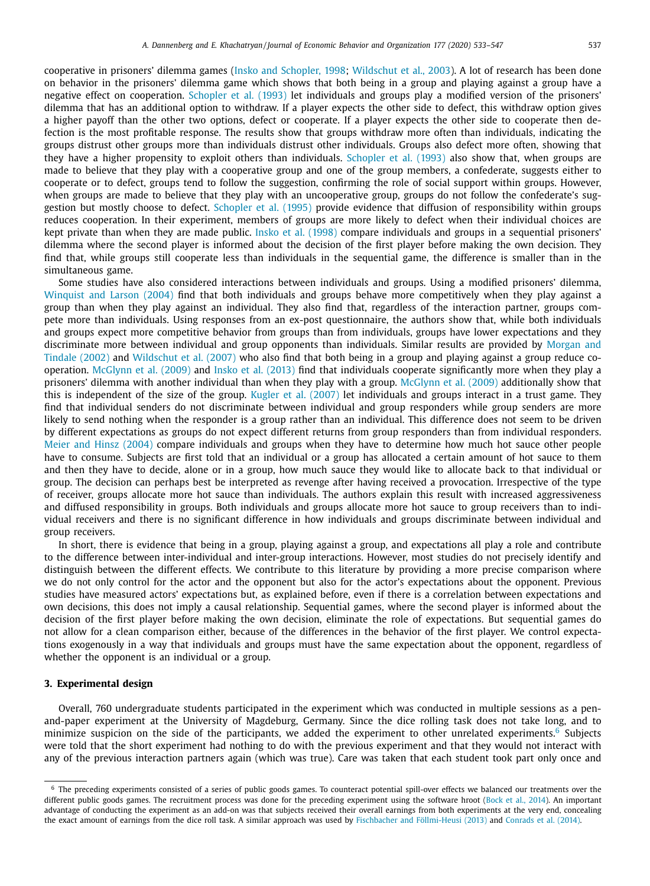<span id="page-4-0"></span>cooperative in prisoners' dilemma games (Insko and [Schopler,](#page-13-0) 1998; [Wildschut](#page-14-0) et al., 2003). A lot of research has been done on behavior in the prisoners' dilemma game which shows that both being in a group and playing against a group have a negative effect on cooperation. [Schopler](#page-13-0) et al. (1993) let individuals and groups play a modified version of the prisoners' dilemma that has an additional option to withdraw. If a player expects the other side to defect, this withdraw option gives a higher payoff than the other two options, defect or cooperate. If a player expects the other side to cooperate then defection is the most profitable response. The results show that groups withdraw more often than individuals, indicating the groups distrust other groups more than individuals distrust other individuals. Groups also defect more often, showing that they have a higher propensity to exploit others than individuals. [Schopler](#page-13-0) et al. (1993) also show that, when groups are made to believe that they play with a cooperative group and one of the group members, a confederate, suggests either to cooperate or to defect, groups tend to follow the suggestion, confirming the role of social support within groups. However, when groups are made to believe that they play with an uncooperative group, groups do not follow the confederate's suggestion but mostly choose to defect. [Schopler](#page-13-0) et al. (1995) provide evidence that diffusion of responsibility within groups reduces cooperation. In their experiment, members of groups are more likely to defect when their individual choices are kept private than when they are made public. Insko et al. [\(1998\)](#page-13-0) compare individuals and groups in a sequential prisoners' dilemma where the second player is informed about the decision of the first player before making the own decision. They find that, while groups still cooperate less than individuals in the sequential game, the difference is smaller than in the simultaneous game.

Some studies have also considered interactions between individuals and groups. Using a modified prisoners' dilemma, [Winquist](#page-14-0) and Larson (2004) find that both individuals and groups behave more competitively when they play against a group than when they play against an individual. They also find that, regardless of the interaction partner, groups compete more than individuals. Using responses from an ex-post questionnaire, the authors show that, while both individuals and groups expect more competitive behavior from groups than from individuals, groups have lower expectations and they [discriminate](#page-13-0) more between individual and group opponents than individuals. Similar results are provided by Morgan and Tindale (2002) and [Wildschut](#page-13-0) et al. (2007) who also find that both being in a group and playing against a group reduce cooperation. [McGlynn](#page-13-0) et al. (2009) and Insko et al. [\(2013\)](#page-13-0) find that individuals cooperate significantly more when they play a prisoners' dilemma with another individual than when they play with a group. [McGlynn](#page-13-0) et al. (2009) additionally show that this is independent of the size of the group. Kugler et al. [\(2007\)](#page-13-0) let individuals and groups interact in a trust game. They find that individual senders do not discriminate between individual and group responders while group senders are more likely to send nothing when the responder is a group rather than an individual. This difference does not seem to be driven by different expectations as groups do not expect different returns from group responders than from individual responders. Meier and Hinsz [\(2004\)](#page-13-0) compare individuals and groups when they have to determine how much hot sauce other people have to consume. Subjects are first told that an individual or a group has allocated a certain amount of hot sauce to them and then they have to decide, alone or in a group, how much sauce they would like to allocate back to that individual or group. The decision can perhaps best be interpreted as revenge after having received a provocation. Irrespective of the type of receiver, groups allocate more hot sauce than individuals. The authors explain this result with increased aggressiveness and diffused responsibility in groups. Both individuals and groups allocate more hot sauce to group receivers than to individual receivers and there is no significant difference in how individuals and groups discriminate between individual and group receivers.

In short, there is evidence that being in a group, playing against a group, and expectations all play a role and contribute to the difference between inter-individual and inter-group interactions. However, most studies do not precisely identify and distinguish between the different effects. We contribute to this literature by providing a more precise comparison where we do not only control for the actor and the opponent but also for the actor's expectations about the opponent. Previous studies have measured actors' expectations but, as explained before, even if there is a correlation between expectations and own decisions, this does not imply a causal relationship. Sequential games, where the second player is informed about the decision of the first player before making the own decision, eliminate the role of expectations. But sequential games do not allow for a clean comparison either, because of the differences in the behavior of the first player. We control expectations exogenously in a way that individuals and groups must have the same expectation about the opponent, regardless of whether the opponent is an individual or a group.

## **3. Experimental design**

Overall, 760 undergraduate students participated in the experiment which was conducted in multiple sessions as a penand-paper experiment at the University of Magdeburg, Germany. Since the dice rolling task does not take long, and to minimize suspicion on the side of the participants, we added the experiment to other unrelated experiments. $6$  Subjects were told that the short experiment had nothing to do with the previous experiment and that they would not interact with any of the previous interaction partners again (which was true). Care was taken that each student took part only once and

<sup>6</sup> The preceding experiments consisted of a series of public goods games. To counteract potential spill-over effects we balanced our treatments over the different public goods games. The recruitment process was done for the preceding experiment using the software hroot [\(Bock](#page-12-0) et al., 2014). An important advantage of conducting the experiment as an add-on was that subjects received their overall earnings from both experiments at the very end, concealing the exact amount of earnings from the dice roll task. A similar approach was used by Fischbacher and [Föllmi-Heusi](#page-13-0) (2013) and [Conrads](#page-13-0) et al. (2014).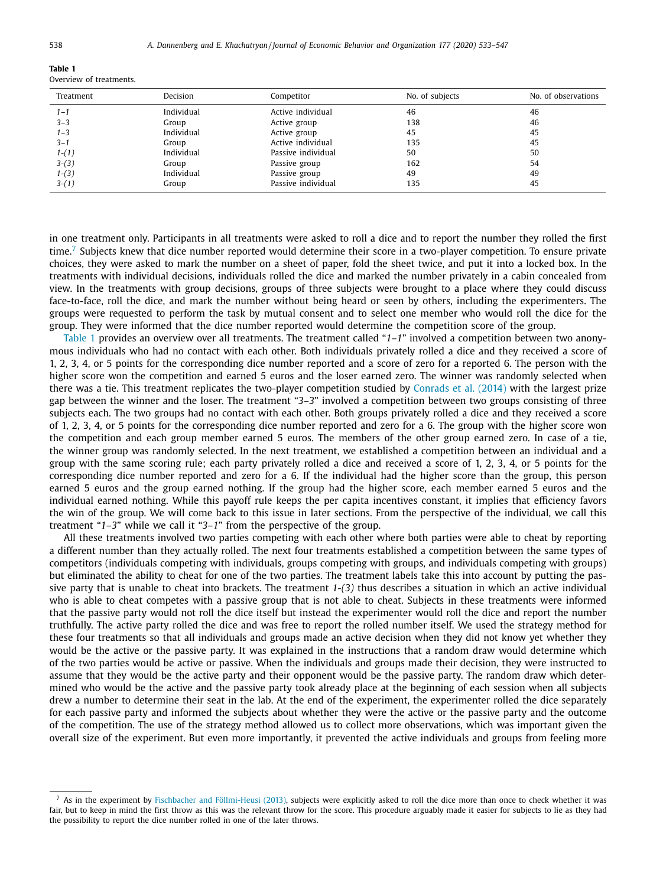**Table 1** Overview of treatments.

| Treatment | Decision   | Competitor         | No. of subjects | No. of observations |
|-----------|------------|--------------------|-----------------|---------------------|
| $1 - 1$   | Individual | Active individual  | 46              | 46                  |
| $3 - 3$   | Group      | Active group       | 138             | 46                  |
| $1 - 3$   | Individual | Active group       | 45              | 45                  |
| $3 - 1$   | Group      | Active individual  | 135             | 45                  |
| $1-(1)$   | Individual | Passive individual | 50              | 50                  |
| $3-(3)$   | Group      | Passive group      | 162             | 54                  |
| $1-(3)$   | Individual | Passive group      | 49              | 49                  |
| $3-(1)$   | Group      | Passive individual | 135             | 45                  |

in one treatment only. Participants in all treatments were asked to roll a dice and to report the number they rolled the first time.<sup>7</sup> Subjects knew that dice number reported would determine their score in a two-player competition. To ensure private choices, they were asked to mark the number on a sheet of paper, fold the sheet twice, and put it into a locked box. In the treatments with individual decisions, individuals rolled the dice and marked the number privately in a cabin concealed from view. In the treatments with group decisions, groups of three subjects were brought to a place where they could discuss face-to-face, roll the dice, and mark the number without being heard or seen by others, including the experimenters. The groups were requested to perform the task by mutual consent and to select one member who would roll the dice for the group. They were informed that the dice number reported would determine the competition score of the group.

Table 1 provides an overview over all treatments. The treatment called "*1–1*" involved a competition between two anonymous individuals who had no contact with each other. Both individuals privately rolled a dice and they received a score of 1, 2, 3, 4, or 5 points for the corresponding dice number reported and a score of zero for a reported 6. The person with the higher score won the competition and earned 5 euros and the loser earned zero. The winner was randomly selected when there was a tie. This treatment replicates the two-player competition studied by [Conrads](#page-13-0) et al. (2014) with the largest prize gap between the winner and the loser. The treatment "*3–3*" involved a competition between two groups consisting of three subjects each. The two groups had no contact with each other. Both groups privately rolled a dice and they received a score of 1, 2, 3, 4, or 5 points for the corresponding dice number reported and zero for a 6. The group with the higher score won the competition and each group member earned 5 euros. The members of the other group earned zero. In case of a tie, the winner group was randomly selected. In the next treatment, we established a competition between an individual and a group with the same scoring rule; each party privately rolled a dice and received a score of 1, 2, 3, 4, or 5 points for the corresponding dice number reported and zero for a 6. If the individual had the higher score than the group, this person earned 5 euros and the group earned nothing. If the group had the higher score, each member earned 5 euros and the individual earned nothing. While this payoff rule keeps the per capita incentives constant, it implies that efficiency favors the win of the group. We will come back to this issue in later sections. From the perspective of the individual, we call this treatment "*1–3*" while we call it "*3–1*" from the perspective of the group.

All these treatments involved two parties competing with each other where both parties were able to cheat by reporting a different number than they actually rolled. The next four treatments established a competition between the same types of competitors (individuals competing with individuals, groups competing with groups, and individuals competing with groups) but eliminated the ability to cheat for one of the two parties. The treatment labels take this into account by putting the passive party that is unable to cheat into brackets. The treatment *1-(3)* thus describes a situation in which an active individual who is able to cheat competes with a passive group that is not able to cheat. Subjects in these treatments were informed that the passive party would not roll the dice itself but instead the experimenter would roll the dice and report the number truthfully. The active party rolled the dice and was free to report the rolled number itself. We used the strategy method for these four treatments so that all individuals and groups made an active decision when they did not know yet whether they would be the active or the passive party. It was explained in the instructions that a random draw would determine which of the two parties would be active or passive. When the individuals and groups made their decision, they were instructed to assume that they would be the active party and their opponent would be the passive party. The random draw which determined who would be the active and the passive party took already place at the beginning of each session when all subjects drew a number to determine their seat in the lab. At the end of the experiment, the experimenter rolled the dice separately for each passive party and informed the subjects about whether they were the active or the passive party and the outcome of the competition. The use of the strategy method allowed us to collect more observations, which was important given the overall size of the experiment. But even more importantly, it prevented the active individuals and groups from feeling more

As in the experiment by Fischbacher and [Föllmi-Heusi](#page-13-0) (2013), subjects were explicitly asked to roll the dice more than once to check whether it was fair, but to keep in mind the first throw as this was the relevant throw for the score. This procedure arguably made it easier for subjects to lie as they had the possibility to report the dice number rolled in one of the later throws.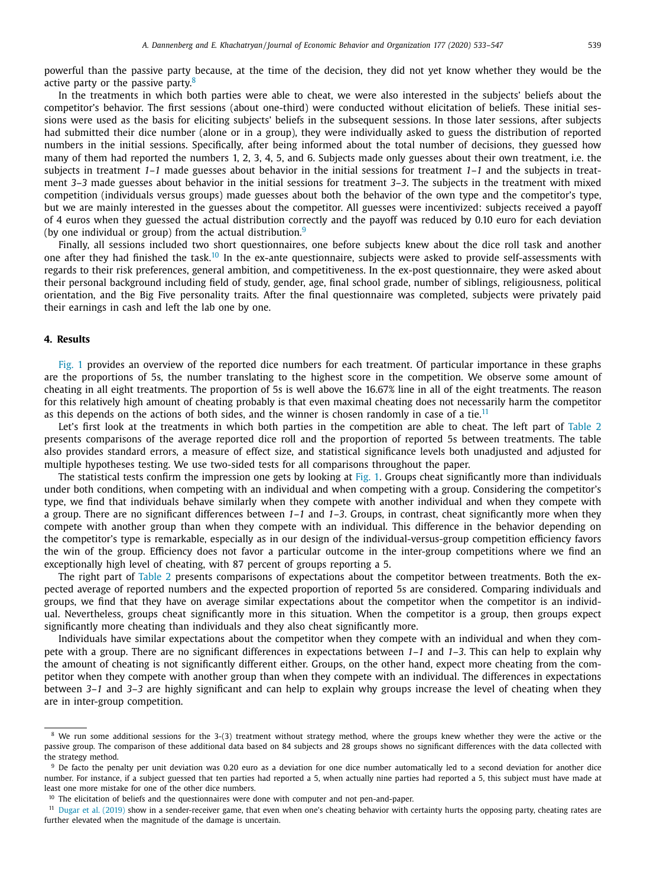<span id="page-6-0"></span>powerful than the passive party because, at the time of the decision, they did not yet know whether they would be the active party or the passive party.<sup>8</sup>

In the treatments in which both parties were able to cheat, we were also interested in the subjects' beliefs about the competitor's behavior. The first sessions (about one-third) were conducted without elicitation of beliefs. These initial sessions were used as the basis for eliciting subjects' beliefs in the subsequent sessions. In those later sessions, after subjects had submitted their dice number (alone or in a group), they were individually asked to guess the distribution of reported numbers in the initial sessions. Specifically, after being informed about the total number of decisions, they guessed how many of them had reported the numbers 1, 2, 3, 4, 5, and 6. Subjects made only guesses about their own treatment, i.e. the subjects in treatment *1–1* made guesses about behavior in the initial sessions for treatment *1–1* and the subjects in treatment *3–3* made guesses about behavior in the initial sessions for treatment *3–3*. The subjects in the treatment with mixed competition (individuals versus groups) made guesses about both the behavior of the own type and the competitor's type, but we are mainly interested in the guesses about the competitor. All guesses were incentivized: subjects received a payoff of 4 euros when they guessed the actual distribution correctly and the payoff was reduced by 0.10 euro for each deviation (by one individual or group) from the actual distribution. $9$ 

Finally, all sessions included two short questionnaires, one before subjects knew about the dice roll task and another one after they had finished the task.<sup>10</sup> In the ex-ante questionnaire, subjects were asked to provide self-assessments with regards to their risk preferences, general ambition, and competitiveness. In the ex-post questionnaire, they were asked about their personal background including field of study, gender, age, final school grade, number of siblings, religiousness, political orientation, and the Big Five personality traits. After the final questionnaire was completed, subjects were privately paid their earnings in cash and left the lab one by one.

## **4. Results**

[Fig.](#page-8-0) 1 provides an overview of the reported dice numbers for each treatment. Of particular importance in these graphs are the proportions of 5s, the number translating to the highest score in the competition. We observe some amount of cheating in all eight treatments. The proportion of 5s is well above the 16.67% line in all of the eight treatments. The reason for this relatively high amount of cheating probably is that even maximal cheating does not necessarily harm the competitor as this depends on the actions of both sides, and the winner is chosen randomly in case of a tie.<sup>11</sup>

Let's first look at the treatments in which both parties in the competition are able to cheat. The left part of [Table](#page-7-0) 2 presents comparisons of the average reported dice roll and the proportion of reported 5s between treatments. The table also provides standard errors, a measure of effect size, and statistical significance levels both unadjusted and adjusted for multiple hypotheses testing. We use two-sided tests for all comparisons throughout the paper.

The statistical tests confirm the impression one gets by looking at [Fig.](#page-8-0) 1. Groups cheat significantly more than individuals under both conditions, when competing with an individual and when competing with a group. Considering the competitor's type, we find that individuals behave similarly when they compete with another individual and when they compete with a group. There are no significant differences between *1–1* and *1–3*. Groups, in contrast, cheat significantly more when they compete with another group than when they compete with an individual. This difference in the behavior depending on the competitor's type is remarkable, especially as in our design of the individual-versus-group competition efficiency favors the win of the group. Efficiency does not favor a particular outcome in the inter-group competitions where we find an exceptionally high level of cheating, with 87 percent of groups reporting a 5.

The right part of [Table](#page-7-0) 2 presents comparisons of expectations about the competitor between treatments. Both the expected average of reported numbers and the expected proportion of reported 5s are considered. Comparing individuals and groups, we find that they have on average similar expectations about the competitor when the competitor is an individual. Nevertheless, groups cheat significantly more in this situation. When the competitor is a group, then groups expect significantly more cheating than individuals and they also cheat significantly more.

Individuals have similar expectations about the competitor when they compete with an individual and when they compete with a group. There are no significant differences in expectations between *1–1* and *1–3*. This can help to explain why the amount of cheating is not significantly different either. Groups, on the other hand, expect more cheating from the competitor when they compete with another group than when they compete with an individual. The differences in expectations between *3–1* and *3–3* are highly significant and can help to explain why groups increase the level of cheating when they are in inter-group competition.

<sup>&</sup>lt;sup>8</sup> We run some additional sessions for the 3-(3) treatment without strategy method, where the groups knew whether they were the active or the passive group. The comparison of these additional data based on 84 subjects and 28 groups shows no significant differences with the data collected with the strategy method.

<sup>&</sup>lt;sup>9</sup> De facto the penalty per unit deviation was 0.20 euro as a deviation for one dice number automatically led to a second deviation for another dice number. For instance, if a subject guessed that ten parties had reported a 5, when actually nine parties had reported a 5, this subject must have made at least one more mistake for one of the other dice numbers.

<sup>&</sup>lt;sup>10</sup> The elicitation of beliefs and the questionnaires were done with computer and not pen-and-paper.

<sup>&</sup>lt;sup>11</sup> Dugar et al. [\(2019\)](#page-13-0) show in a sender-receiver game, that even when one's cheating behavior with certainty hurts the opposing party, cheating rates are further elevated when the magnitude of the damage is uncertain.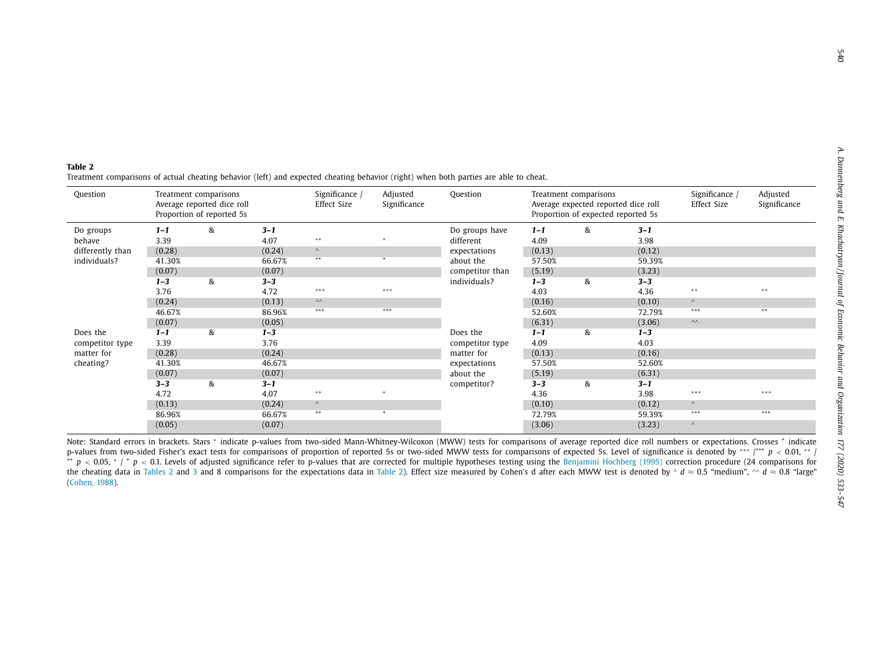<span id="page-7-0"></span>**Table 2**Treatment comparisons of actual cheating behavior (left) and expected cheating behavior (right) when both parties are able to cheat.

| Question                      | Treatment comparisons<br>Average reported dice roll<br>Proportion of reported 5s |   |         | Significance /<br>Effect Size | Adjusted<br>Significance | Question        | Treatment comparisons<br>Average expected reported dice roll<br>Proportion of expected reported 5s |   |         | Significance /<br>Effect Size | Adjusted<br>Significance |
|-------------------------------|----------------------------------------------------------------------------------|---|---------|-------------------------------|--------------------------|-----------------|----------------------------------------------------------------------------------------------------|---|---------|-------------------------------|--------------------------|
| Do groups                     | $1 - 1$                                                                          | & | $3 - 1$ |                               |                          | Do groups have  | $1 - 1$                                                                                            | & | $3 - 1$ |                               |                          |
| behave                        | 3.39                                                                             |   | 4.07    | $* *$                         |                          | different       | 4.09                                                                                               |   | 3.98    |                               |                          |
| differently than              | (0.28)                                                                           |   | (0.24)  | $\wedge$                      |                          | expectations    | (0.13)                                                                                             |   | (0.12)  |                               |                          |
| individuals?                  | 41.30%                                                                           |   | 66.67%  | $^{++}$                       | $\mathbf{r}$             | about the       | 57.50%                                                                                             |   | 59.39%  |                               |                          |
|                               | (0.07)                                                                           |   | (0.07)  |                               |                          | competitor than | (5.19)                                                                                             |   | (3.23)  |                               |                          |
|                               | $1 - 3$                                                                          | & | $3 - 3$ |                               |                          | individuals?    | $1 - 3$                                                                                            | & | $3 - 3$ |                               |                          |
|                               | 3.76                                                                             |   | 4.72    | ***                           | ***                      |                 | 4.03                                                                                               |   | 4.36    | **                            | $* *$                    |
|                               | (0.24)                                                                           |   | (0.13)  | $\wedge\wedge$                |                          |                 | (0.16)                                                                                             |   | (0.10)  | $\wedge$                      |                          |
|                               | 46.67%                                                                           |   | 86.96%  | $^{+++}$                      | $^{+++}$                 |                 | 52.60%                                                                                             |   | 72.79%  | $^{+++}$                      | $^{++}$                  |
|                               | (0.07)                                                                           |   | (0.05)  |                               |                          |                 | (6.31)                                                                                             |   | (3.06)  | $\wedge\wedge$                |                          |
| Does the                      | $1 - 1$                                                                          | & | $1 - 3$ |                               |                          | Does the        | $1 - 1$                                                                                            | & | $1 - 3$ |                               |                          |
| competitor type<br>matter for | 3.39                                                                             |   | 3.76    |                               |                          | competitor type | 4.09                                                                                               |   | 4.03    |                               |                          |
|                               | (0.28)                                                                           |   | (0.24)  |                               |                          | matter for      | (0.13)                                                                                             |   | (0.16)  |                               |                          |
| cheating?                     | 41.30%                                                                           |   | 46.67%  |                               |                          | expectations    | 57.50%                                                                                             |   | 52.60%  |                               |                          |
|                               | (0.07)                                                                           |   | (0.07)  |                               |                          | about the       | (5.19)                                                                                             |   | (6.31)  |                               |                          |
|                               | $3 - 3$                                                                          | & | $3 - 1$ |                               |                          | competitor?     | $3 - 3$                                                                                            | & | $3 - 1$ |                               |                          |
|                               | 4.72                                                                             |   | 4.07    | $* *$                         |                          |                 | 4.36                                                                                               |   | 3.98    | ***                           | ***                      |
|                               | (0.13)                                                                           |   | (0.24)  | $\wedge$                      |                          |                 | (0.10)                                                                                             |   | (0.12)  | $\wedge$                      |                          |
|                               | 86.96%                                                                           |   | 66.67%  | $^{++}$                       | $\ddot{}$                |                 | 72.79%                                                                                             |   | 59.39%  | $^{+++}$                      | $^{+++}$                 |
|                               | (0.05)                                                                           |   | (0.07)  |                               |                          |                 | (3.06)                                                                                             |   | (3.23)  | $\wedge$                      |                          |

Note: Standard errors in brackets. Stars <sup>∗</sup> indicate p-values from two-sided Mann-Whitney-Wilcoxon (MWW) tests for comparisons of average reported dice roll numbers or expectations. Crosses <sup>+</sup> indicate p-values from two-sided Fisher's exact tests for comparisons of proportion of reported 5s or two-sided MWW tests for comparisons of expected 5s. Level of significance is denoted by \*\*\* /<sup>+++</sup> *p* < 0.01, \*\* / ++ *p* <sup>&</sup>lt; 0.05, <sup>∗</sup> / <sup>+</sup> *p* <sup>&</sup>lt; 0.1. Levels of adjusted significance refer to p-values that are corrected for multiple hypotheses testing using the [Benjamini](#page-12-0) Hochberg (1995) correction procedure (24 comparisons for the cheating data in Tables 2 and [3](#page-9-0) and 8 comparisons for the expectations data in Table 2). Effect size measured by Cohen's d after each MWW test is denoted by ^ *d* ≈ 0.5 "medium", ^^ *d* ≈ 0.8 "large" ([Cohen,](#page-13-0) 1988).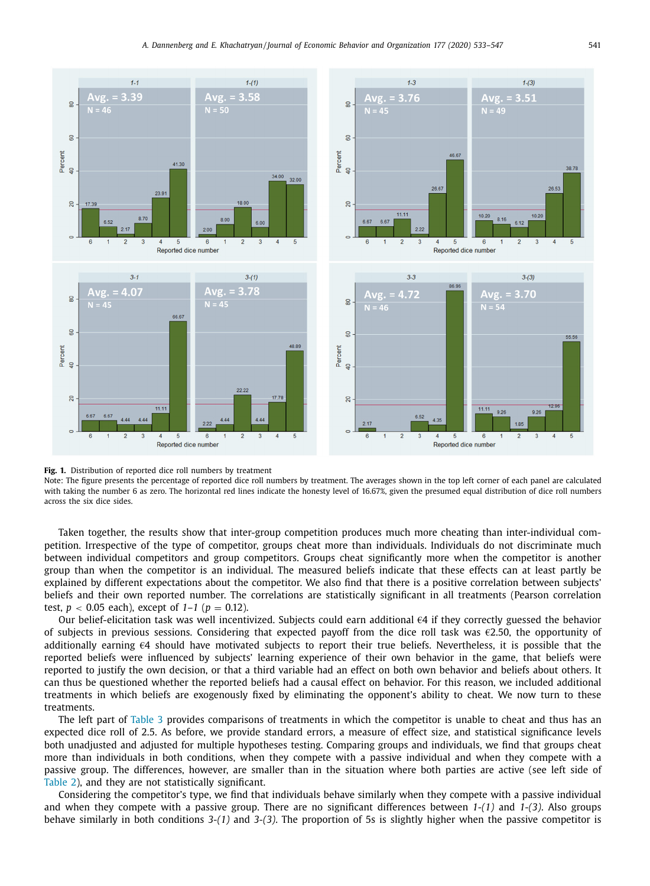<span id="page-8-0"></span>

**Fig. 1.** Distribution of reported dice roll numbers by treatment

Note: The figure presents the percentage of reported dice roll numbers by treatment. The averages shown in the top left corner of each panel are calculated with taking the number 6 as zero. The horizontal red lines indicate the honesty level of 16.67%, given the presumed equal distribution of dice roll numbers across the six dice sides.

Taken together, the results show that inter-group competition produces much more cheating than inter-individual competition. Irrespective of the type of competitor, groups cheat more than individuals. Individuals do not discriminate much between individual competitors and group competitors. Groups cheat significantly more when the competitor is another group than when the competitor is an individual. The measured beliefs indicate that these effects can at least partly be explained by different expectations about the competitor. We also find that there is a positive correlation between subjects' beliefs and their own reported number. The correlations are statistically significant in all treatments (Pearson correlation test,  $p < 0.05$  each), except of  $1-1$  ( $p = 0.12$ ).

Our belief-elicitation task was well incentivized. Subjects could earn additional €4 if they correctly guessed the behavior of subjects in previous sessions. Considering that expected payoff from the dice roll task was  $\epsilon$ 2.50, the opportunity of additionally earning  $\epsilon 4$  should have motivated subjects to report their true beliefs. Nevertheless, it is possible that the reported beliefs were influenced by subjects' learning experience of their own behavior in the game, that beliefs were reported to justify the own decision, or that a third variable had an effect on both own behavior and beliefs about others. It can thus be questioned whether the reported beliefs had a causal effect on behavior. For this reason, we included additional treatments in which beliefs are exogenously fixed by eliminating the opponent's ability to cheat. We now turn to these treatments.

The left part of [Table](#page-9-0) 3 provides comparisons of treatments in which the competitor is unable to cheat and thus has an expected dice roll of 2.5. As before, we provide standard errors, a measure of effect size, and statistical significance levels both unadjusted and adjusted for multiple hypotheses testing. Comparing groups and individuals, we find that groups cheat more than individuals in both conditions, when they compete with a passive individual and when they compete with a passive group. The differences, however, are smaller than in the situation where both parties are active (see left side of [Table](#page-7-0) 2), and they are not statistically significant.

Considering the competitor's type, we find that individuals behave similarly when they compete with a passive individual and when they compete with a passive group. There are no significant differences between *1-(1)* and *1-(3)*. Also groups behave similarly in both conditions *3-(1)* and *3-(3)*. The proportion of 5s is slightly higher when the passive competitor is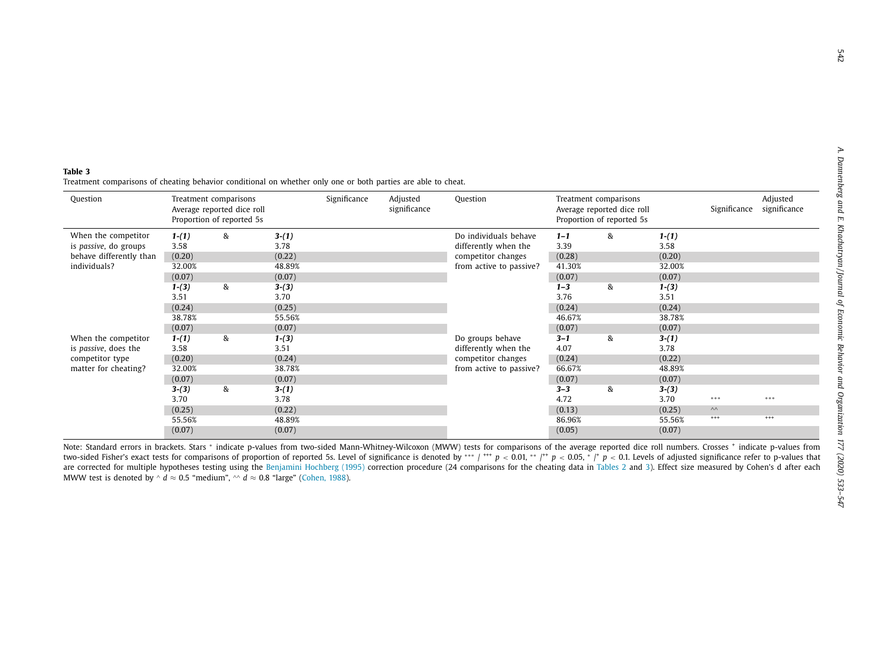#### <span id="page-9-0"></span>**Table 3**Treatment comparisons of cheating behavior conditional on whether only one or both parties are able to cheat.

| Question                                                                                |                                     | Treatment comparisons<br>Average reported dice roll<br>Proportion of reported 5s |                                     | Significance | Adjusted<br>significance | Question                                                                                       |                                     | Treatment comparisons<br>Average reported dice roll<br>Proportion of reported 5s |                                     | Significance                      | Adjusted<br>significance |
|-----------------------------------------------------------------------------------------|-------------------------------------|----------------------------------------------------------------------------------|-------------------------------------|--------------|--------------------------|------------------------------------------------------------------------------------------------|-------------------------------------|----------------------------------------------------------------------------------|-------------------------------------|-----------------------------------|--------------------------|
| When the competitor<br>is passive, do groups<br>behave differently than<br>individuals? | $1-(1)$<br>3.58<br>(0.20)<br>32.00% | &                                                                                | $3-(1)$<br>3.78<br>(0.22)<br>48.89% |              |                          | Do individuals behave<br>differently when the<br>competitor changes<br>from active to passive? | $1 - 1$<br>3.39<br>(0.28)<br>41.30% | &                                                                                | $1-(1)$<br>3.58<br>(0.20)<br>32.00% |                                   |                          |
|                                                                                         | (0.07)<br>$1-(3)$<br>3.51<br>(0.24) | &                                                                                | (0.07)<br>$3-(3)$<br>3.70<br>(0.25) |              |                          |                                                                                                | (0.07)<br>$1 - 3$<br>3.76<br>(0.24) | &                                                                                | (0.07)<br>$1-(3)$<br>3.51<br>(0.24) |                                   |                          |
| When the competitor                                                                     | 38.78%<br>(0.07)<br>$1-(1)$         | &                                                                                | 55.56%<br>(0.07)<br>$1-(3)$         |              |                          | Do groups behave                                                                               | 46.67%<br>(0.07)<br>$3 - 1$         | &                                                                                | 38.78%<br>(0.07)<br>$3-(1)$         |                                   |                          |
| is passive, does the<br>competitor type<br>matter for cheating?                         | 3.58<br>(0.20)<br>32.00%<br>(0.07)  |                                                                                  | 3.51<br>(0.24)<br>38.78%<br>(0.07)  |              |                          | differently when the<br>competitor changes<br>from active to passive?                          | 4.07<br>(0.24)<br>66.67%<br>(0.07)  |                                                                                  | 3.78<br>(0.22)<br>48.89%<br>(0.07)  |                                   |                          |
|                                                                                         | $3-(3)$<br>3.70<br>(0.25)           | &                                                                                | $3-(1)$<br>3.78<br>(0.22)           |              |                          |                                                                                                | $3 - 3$<br>4.72<br>(0.13)           | &                                                                                | $3-(3)$<br>3.70<br>(0.25)           | ***<br>$\wedge\wedge$<br>$^{+++}$ | ***<br>$^{+++}$          |
|                                                                                         | 55.56%<br>(0.07)                    |                                                                                  | 48.89%<br>(0.07)                    |              |                          |                                                                                                | 86.96%<br>(0.05)                    |                                                                                  | 55.56%<br>(0.07)                    |                                   |                          |

Note: Standard errors in brackets. Stars \* indicate p-values from two-sided Mann-Whitney-Wilcoxon (MWW) tests for comparisons of the average reported dice roll numbers. Crosses † indicate p-values from two-sided Fisher's exact tests for comparisons of proportion of reported 5s. Level of significance is denoted by \*\*\* / \*\*\*  $p < 0.01$ , \*\* /\*\*  $p < 0.05$ , \* /\*  $p < 0.1$ . Levels of adjusted significance refer to p-values that are corrected for multiple hypotheses testing using the [Benjamini](#page-12-0) Hochberg (1995) correction procedure (24 comparisons for the cheating data in [Tables](#page-7-0) 2 and 3). Effect size measured by Cohen's d after each MWW test is denoted by ^ *d*  $\approx$  0.5 "medium", ^^ *d*  $\approx$  0.8 "large" [\(Cohen,](#page-13-0) 1988).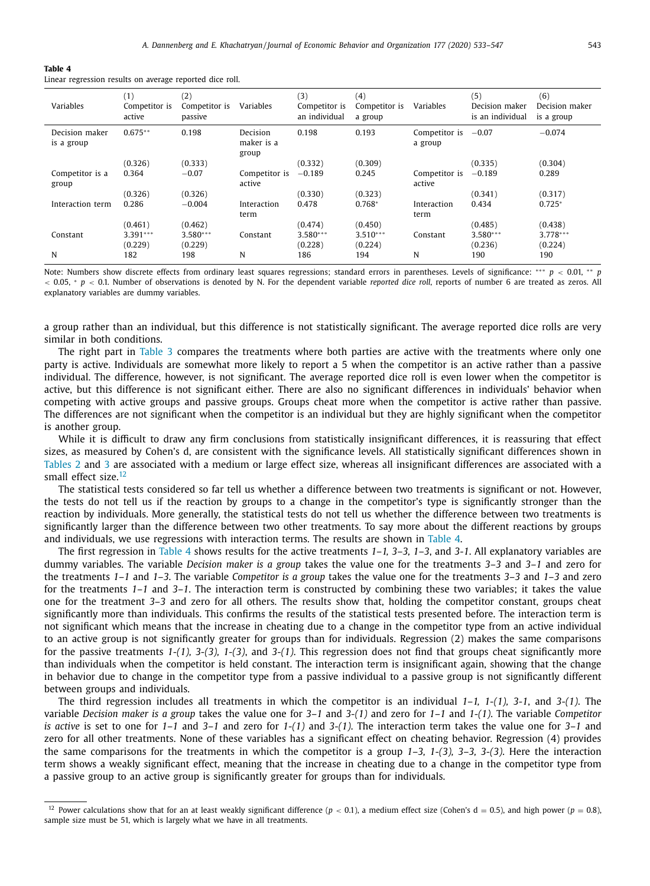<span id="page-10-0"></span>

|--|--|

Linear regression results on average reported dice roll.

| Variables                    | (1)<br>Competitor is<br>active | (2)<br>Competitor is<br>passive | Variables                       | (3)<br>Competitor is<br>an individual | (4)<br>Competitor is<br>a group | Variables                        | (5)<br>Decision maker<br>is an individual | (6)<br>Decision maker<br>is a group |
|------------------------------|--------------------------------|---------------------------------|---------------------------------|---------------------------------------|---------------------------------|----------------------------------|-------------------------------------------|-------------------------------------|
| Decision maker<br>is a group | $0.675**$                      | 0.198                           | Decision<br>maker is a<br>group | 0.198                                 | 0.193                           | Competitor is $-0.07$<br>a group |                                           | $-0.074$                            |
|                              | (0.326)                        | (0.333)                         |                                 | (0.332)                               | (0.309)                         |                                  | (0.335)                                   | (0.304)                             |
| Competitor is a<br>group     | 0.364                          | $-0.07$                         | Competitor is<br>active         | $-0.189$                              | 0.245                           | Competitor is<br>active          | $-0.189$                                  | 0.289                               |
|                              | (0.326)                        | (0.326)                         |                                 | (0.330)                               | (0.323)                         |                                  | (0.341)                                   | (0.317)                             |
| Interaction term             | 0.286                          | $-0.004$                        | Interaction<br>term             | 0.478                                 | $0.768*$                        | Interaction<br>term              | 0.434                                     | $0.725*$                            |
|                              | (0.461)                        | (0.462)                         |                                 | (0.474)                               | (0.450)                         |                                  | (0.485)                                   | (0.438)                             |
| Constant                     | $3.391***$<br>(0.229)          | $3.580***$<br>(0.229)           | Constant                        | $3.580***$<br>(0.228)                 | $3.510***$<br>(0.224)           | Constant                         | $3.580***$<br>(0.236)                     | $3.778***$<br>(0.224)               |
| N                            | 182                            | 198                             | N                               | 186                                   | 194                             | N                                | 190                                       | 190                                 |

Note: Numbers show discrete effects from ordinary least squares regressions; standard errors in parentheses. Levels of significance: ∗∗∗ *p* < 0.01, ∗ ∗ *p* < 0.05, <sup>∗</sup> *p* < 0.1. Number of observations is denoted by N. For the dependent variable *reported dice roll*, reports of number 6 are treated as zeros. All explanatory variables are dummy variables.

a group rather than an individual, but this difference is not statistically significant. The average reported dice rolls are very similar in both conditions.

The right part in [Table](#page-9-0) 3 compares the treatments where both parties are active with the treatments where only one party is active. Individuals are somewhat more likely to report a 5 when the competitor is an active rather than a passive individual. The difference, however, is not significant. The average reported dice roll is even lower when the competitor is active, but this difference is not significant either. There are also no significant differences in individuals' behavior when competing with active groups and passive groups. Groups cheat more when the competitor is active rather than passive. The differences are not significant when the competitor is an individual but they are highly significant when the competitor is another group.

While it is difficult to draw any firm conclusions from statistically insignificant differences, it is reassuring that effect sizes, as measured by Cohen's d, are consistent with the significance levels. All statistically significant differences shown in [Tables](#page-7-0) 2 and [3](#page-9-0) are associated with a medium or large effect size, whereas all insignificant differences are associated with a small effect size  $12$ 

The statistical tests considered so far tell us whether a difference between two treatments is significant or not. However, the tests do not tell us if the reaction by groups to a change in the competitor's type is significantly stronger than the reaction by individuals. More generally, the statistical tests do not tell us whether the difference between two treatments is significantly larger than the difference between two other treatments. To say more about the different reactions by groups and individuals, we use regressions with interaction terms. The results are shown in Table 4.

The first regression in Table 4 shows results for the active treatments *1–1, 3–3, 1–3*, and *3-1*. All explanatory variables are dummy variables. The variable *Decision maker is a group* takes the value one for the treatments *3–3* and *3–1* and zero for the treatments *1–1* and *1–3*. The variable *Competitor is a group* takes the value one for the treatments *3–3* and *1–3* and zero for the treatments *1–1* and *3–1*. The interaction term is constructed by combining these two variables; it takes the value one for the treatment *3–3* and zero for all others. The results show that, holding the competitor constant, groups cheat significantly more than individuals. This confirms the results of the statistical tests presented before. The interaction term is not significant which means that the increase in cheating due to a change in the competitor type from an active individual to an active group is not significantly greater for groups than for individuals. Regression (2) makes the same comparisons for the passive treatments *1-(1), 3-(3), 1-(3)*, and *3-(1)*. This regression does not find that groups cheat significantly more than individuals when the competitor is held constant. The interaction term is insignificant again, showing that the change in behavior due to change in the competitor type from a passive individual to a passive group is not significantly different between groups and individuals.

The third regression includes all treatments in which the competitor is an individual *1–1, 1-(1), 3-1*, and *3-(1)*. The variable *Decision maker is a group* takes the value one for *3–1* and *3-(1)* and zero for *1–1* and *1-(1)*. The variable *Competitor is active* is set to one for *1–1* and *3–1* and zero for *1-(1)* and *3-(1)*. The interaction term takes the value one for *3–1* and zero for all other treatments. None of these variables has a significant effect on cheating behavior. Regression (4) provides the same comparisons for the treatments in which the competitor is a group *1–3, 1-(3), 3–3, 3-(3)*. Here the interaction term shows a weakly significant effect, meaning that the increase in cheating due to a change in the competitor type from a passive group to an active group is significantly greater for groups than for individuals.

<sup>&</sup>lt;sup>12</sup> Power calculations show that for an at least weakly significant difference ( $p < 0.1$ ), a medium effect size (Cohen's d = 0.5), and high power ( $p = 0.8$ ), sample size must be 51, which is largely what we have in all treatments.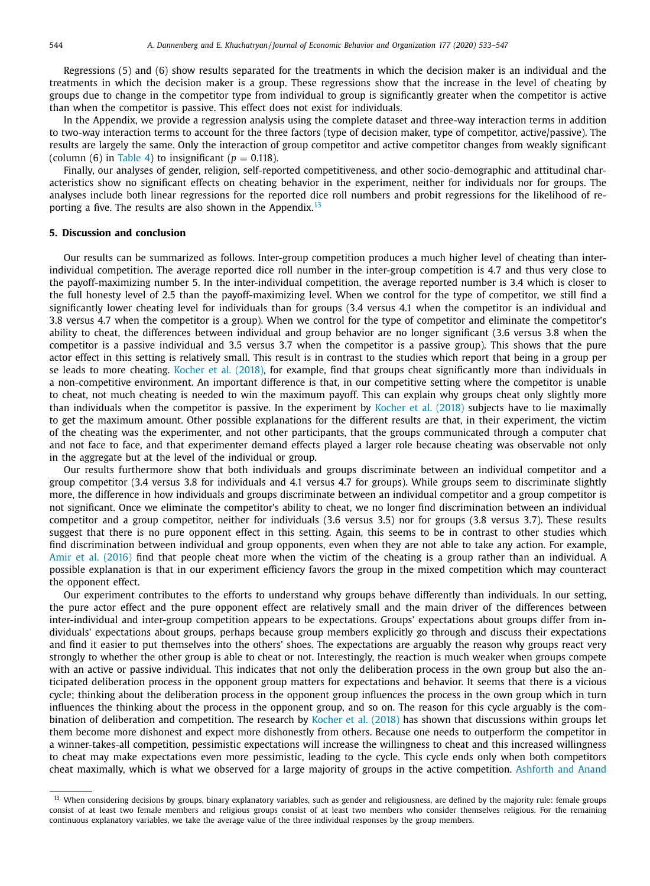<span id="page-11-0"></span>Regressions (5) and (6) show results separated for the treatments in which the decision maker is an individual and the treatments in which the decision maker is a group. These regressions show that the increase in the level of cheating by groups due to change in the competitor type from individual to group is significantly greater when the competitor is active than when the competitor is passive. This effect does not exist for individuals.

In the Appendix, we provide a regression analysis using the complete dataset and three-way interaction terms in addition to two-way interaction terms to account for the three factors (type of decision maker, type of competitor, active/passive). The results are largely the same. Only the interaction of group competitor and active competitor changes from weakly significant (column (6) in [Table](#page-10-0) 4) to insignificant ( $p = 0.118$ ).

Finally, our analyses of gender, religion, self-reported competitiveness, and other socio-demographic and attitudinal characteristics show no significant effects on cheating behavior in the experiment, neither for individuals nor for groups. The analyses include both linear regressions for the reported dice roll numbers and probit regressions for the likelihood of reporting a five. The results are also shown in the Appendix.<sup>13</sup>

## **5. Discussion and conclusion**

Our results can be summarized as follows. Inter-group competition produces a much higher level of cheating than interindividual competition. The average reported dice roll number in the inter-group competition is 4.7 and thus very close to the payoff-maximizing number 5. In the inter-individual competition, the average reported number is 3.4 which is closer to the full honesty level of 2.5 than the payoff-maximizing level. When we control for the type of competitor, we still find a significantly lower cheating level for individuals than for groups (3.4 versus 4.1 when the competitor is an individual and 3.8 versus 4.7 when the competitor is a group). When we control for the type of competitor and eliminate the competitor's ability to cheat, the differences between individual and group behavior are no longer significant (3.6 versus 3.8 when the competitor is a passive individual and 3.5 versus 3.7 when the competitor is a passive group). This shows that the pure actor effect in this setting is relatively small. This result is in contrast to the studies which report that being in a group per se leads to more cheating. [Kocher](#page-13-0) et al. (2018), for example, find that groups cheat significantly more than individuals in a non-competitive environment. An important difference is that, in our competitive setting where the competitor is unable to cheat, not much cheating is needed to win the maximum payoff. This can explain why groups cheat only slightly more than individuals when the competitor is passive. In the experiment by [Kocher](#page-13-0) et al. (2018) subjects have to lie maximally to get the maximum amount. Other possible explanations for the different results are that, in their experiment, the victim of the cheating was the experimenter, and not other participants, that the groups communicated through a computer chat and not face to face, and that experimenter demand effects played a larger role because cheating was observable not only in the aggregate but at the level of the individual or group.

Our results furthermore show that both individuals and groups discriminate between an individual competitor and a group competitor (3.4 versus 3.8 for individuals and 4.1 versus 4.7 for groups). While groups seem to discriminate slightly more, the difference in how individuals and groups discriminate between an individual competitor and a group competitor is not significant. Once we eliminate the competitor's ability to cheat, we no longer find discrimination between an individual competitor and a group competitor, neither for individuals (3.6 versus 3.5) nor for groups (3.8 versus 3.7). These results suggest that there is no pure opponent effect in this setting. Again, this seems to be in contrast to other studies which find discrimination between individual and group opponents, even when they are not able to take any action. For example, Amir et al. [\(2016\)](#page-12-0) find that people cheat more when the victim of the cheating is a group rather than an individual. A possible explanation is that in our experiment efficiency favors the group in the mixed competition which may counteract the opponent effect.

Our experiment contributes to the efforts to understand why groups behave differently than individuals. In our setting, the pure actor effect and the pure opponent effect are relatively small and the main driver of the differences between inter-individual and inter-group competition appears to be expectations. Groups' expectations about groups differ from individuals' expectations about groups, perhaps because group members explicitly go through and discuss their expectations and find it easier to put themselves into the others' shoes. The expectations are arguably the reason why groups react very strongly to whether the other group is able to cheat or not. Interestingly, the reaction is much weaker when groups compete with an active or passive individual. This indicates that not only the deliberation process in the own group but also the anticipated deliberation process in the opponent group matters for expectations and behavior. It seems that there is a vicious cycle; thinking about the deliberation process in the opponent group influences the process in the own group which in turn influences the thinking about the process in the opponent group, and so on. The reason for this cycle arguably is the combination of deliberation and competition. The research by [Kocher](#page-13-0) et al. (2018) has shown that discussions within groups let them become more dishonest and expect more dishonestly from others. Because one needs to outperform the competitor in a winner-takes-all competition, pessimistic expectations will increase the willingness to cheat and this increased willingness to cheat may make expectations even more pessimistic, leading to the cycle. This cycle ends only when both competitors cheat maximally, which is what we observed for a large majority of groups in the active competition. [Ashforth](#page-12-0) and Anand

<sup>&</sup>lt;sup>13</sup> When considering decisions by groups, binary explanatory variables, such as gender and religiousness, are defined by the majority rule: female groups consist of at least two female members and religious groups consist of at least two members who consider themselves religious. For the remaining continuous explanatory variables, we take the average value of the three individual responses by the group members.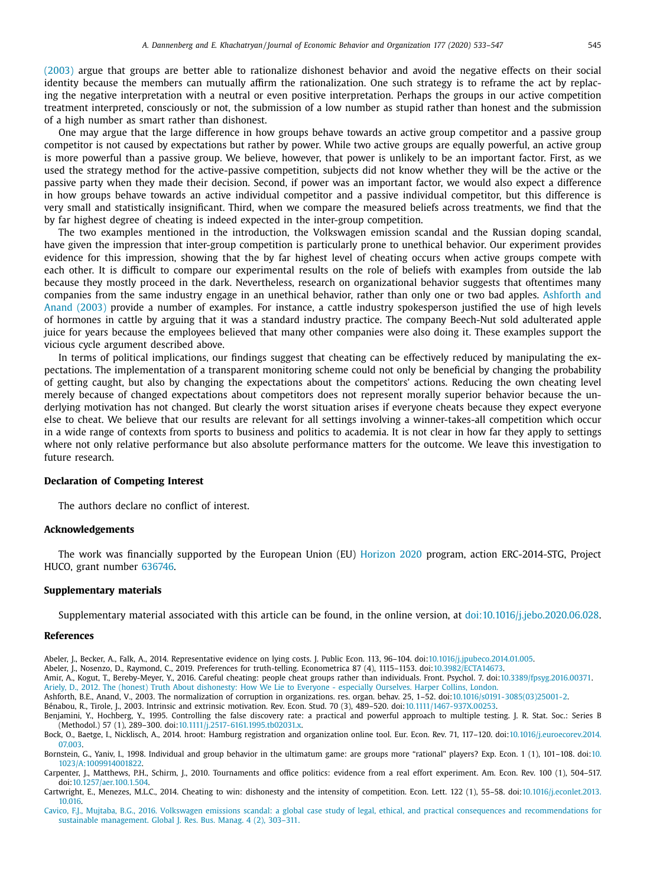<span id="page-12-0"></span>(2003) argue that groups are better able to rationalize dishonest behavior and avoid the negative effects on their social identity because the members can mutually affirm the rationalization. One such strategy is to reframe the act by replacing the negative interpretation with a neutral or even positive interpretation. Perhaps the groups in our active competition treatment interpreted, consciously or not, the submission of a low number as stupid rather than honest and the submission of a high number as smart rather than dishonest.

One may argue that the large difference in how groups behave towards an active group competitor and a passive group competitor is not caused by expectations but rather by power. While two active groups are equally powerful, an active group is more powerful than a passive group. We believe, however, that power is unlikely to be an important factor. First, as we used the strategy method for the active-passive competition, subjects did not know whether they will be the active or the passive party when they made their decision. Second, if power was an important factor, we would also expect a difference in how groups behave towards an active individual competitor and a passive individual competitor, but this difference is very small and statistically insignificant. Third, when we compare the measured beliefs across treatments, we find that the by far highest degree of cheating is indeed expected in the inter-group competition.

The two examples mentioned in the introduction, the Volkswagen emission scandal and the Russian doping scandal, have given the impression that inter-group competition is particularly prone to unethical behavior. Our experiment provides evidence for this impression, showing that the by far highest level of cheating occurs when active groups compete with each other. It is difficult to compare our experimental results on the role of beliefs with examples from outside the lab because they mostly proceed in the dark. Nevertheless, research on organizational behavior suggests that oftentimes many companies from the same industry engage in an unethical behavior, rather than only one or two bad apples. Ashforth and Anand (2003) provide a number of examples. For instance, a cattle industry spokesperson justified the use of high levels of hormones in cattle by arguing that it was a standard industry practice. The company Beech-Nut sold adulterated apple juice for years because the employees believed that many other companies were also doing it. These examples support the vicious cycle argument described above.

In terms of political implications, our findings suggest that cheating can be effectively reduced by manipulating the expectations. The implementation of a transparent monitoring scheme could not only be beneficial by changing the probability of getting caught, but also by changing the expectations about the competitors' actions. Reducing the own cheating level merely because of changed expectations about competitors does not represent morally superior behavior because the underlying motivation has not changed. But clearly the worst situation arises if everyone cheats because they expect everyone else to cheat. We believe that our results are relevant for all settings involving a winner-takes-all competition which occur in a wide range of contexts from sports to business and politics to academia. It is not clear in how far they apply to settings where not only relative performance but also absolute performance matters for the outcome. We leave this investigation to future research.

## **Declaration of Competing Interest**

The authors declare no conflict of interest.

## **Acknowledgements**

The work was financially supported by the European Union (EU) [Horizon](https://doi.org/10.13039/501100007601) 2020 program, action ERC-2014-STG, Project HUCO, grant number 636746.

## **Supplementary materials**

Supplementary material associated with this article can be found, in the online version, at [doi:10.1016/j.jebo.2020.06.028.](https://doi.org/10.1016/j.jebo.2020.06.028)

#### **References**

Abeler, J., Becker, A., Falk, A., 2014. Representative evidence on lying costs. J. Public Econ. 113, 96–104. doi[:10.1016/j.jpubeco.2014.01.005.](https://doi.org/10.1016/j.jpubeco.2014.01.005)

Abeler, J., Nosenzo, D., Raymond, C., 2019. Preferences for truth-telling. Econometrica 87 (4), 1115–1153. doi[:10.3982/ECTA14673.](https://doi.org/10.3982/ECTA14673)

Amir, A., Kogut, T., Bereby-Meyer, Y., 2016. Careful cheating: people cheat groups rather than individuals. Front. Psychol. 7. doi[:10.3389/fpsyg.2016.00371.](https://doi.org/10.3389/fpsyg.2016.00371) [Ariely,](http://refhub.elsevier.com/S0167-2681(20)30192-X/sbref0004) D., 2012. The (honest) Truth About [dishonesty:](http://refhub.elsevier.com/S0167-2681(20)30192-X/sbref0004) How We Lie to Everyone - especially Ourselves. Harper Collins, London.

Ashforth, B.E., Anand, V., 2003. The normalization of corruption in organizations. res. organ. behav. 25, 1–52. doi[:10.1016/s0191-3085\(03\)25001-2.](https://doi.org/10.1016/s0191-3085(03)25001-2)

Bénabou, R., Tirole, J., 2003. Intrinsic and extrinsic motivation. Rev. Econ. Stud. 70 (3), 489–520. doi[:10.1111/1467-937X.00253.](https://doi.org/10.1111/1467-937X.00253)

Benjamini, Y., Hochberg, Y., 1995. Controlling the false discovery rate: a practical and powerful approach to multiple testing. J. R. Stat. Soc.: Series B (Methodol.) 57 (1), 289–300. doi[:10.1111/j.2517-6161.1995.tb02031.x.](https://doi.org/10.1111/j.2517-6161.1995.tb02031.x)

Bock, O., Baetge, I., Nicklisch, A., 2014. hroot: Hamburg registration and organization online tool. Eur. Econ. Rev. 71, 117–120. [doi:10.1016/j.euroecorev.2014.](https://doi.org/10.1016/j.euroecorev.2014.07.003) 07.003.

Bornstein, G., Yaniv, I., 1998. Individual and group behavior in the ultimatum game: are groups more "rational" players? Exp. Econ. 1 (1), 101–108. doi:10. [1023/A:1009914001822.](https://doi.org/10.1023/A:1009914001822)

Carpenter, J., Matthews, P.H., Schirm, J., 2010. Tournaments and office politics: evidence from a real effort experiment. Am. Econ. Rev. 100 (1), 504–517. doi[:10.1257/aer.100.1.504.](https://doi.org/10.1257/aer.100.1.504)

Cartwright, E., Menezes, M.L.C., 2014. Cheating to win: dishonesty and the intensity of competition. Econ. Lett. 122 (1), 55–58. [doi:10.1016/j.econlet.2013.](https://doi.org/10.1016/j.econlet.2013.10.016) 10.016.

[Cavico,](http://refhub.elsevier.com/S0167-2681(20)30192-X/sbref0012) F.J., [Mujtaba,](http://refhub.elsevier.com/S0167-2681(20)30192-X/sbref0012) B.G., 2016. Volkswagen emissions scandal: a global case study of legal, ethical, and practical consequences and [recommendations](http://refhub.elsevier.com/S0167-2681(20)30192-X/sbref0012) for sustainable management. Global J. Res. Bus. Manag. 4 (2), 303–311.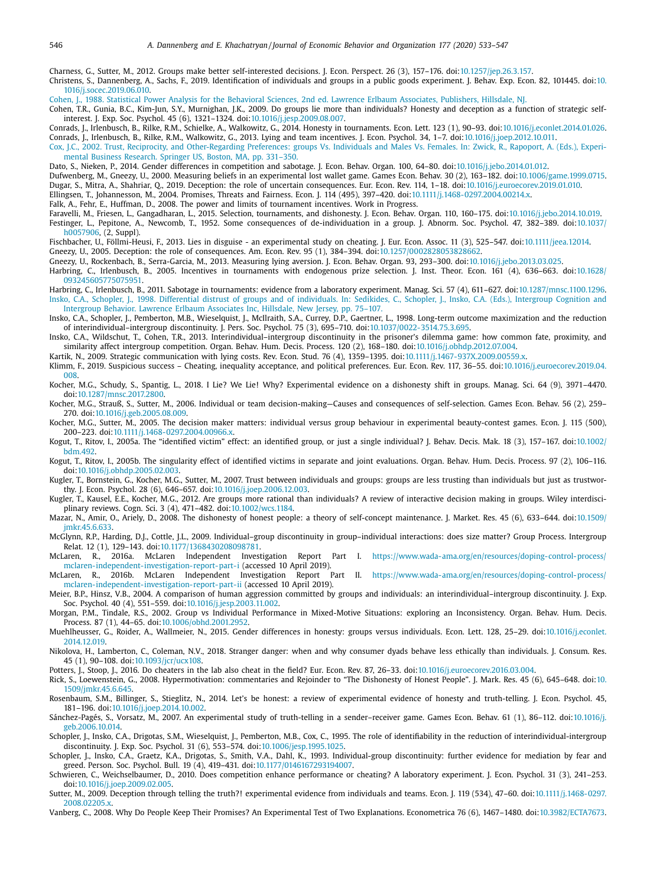<span id="page-13-0"></span>Charness, G., Sutter, M., 2012. Groups make better self-interested decisions. J. Econ. Perspect. 26 (3), 157–176. doi[:10.1257/jep.26.3.157.](https://doi.org/10.1257/jep.26.3.157)

Christens, S., Dannenberg, A., Sachs, F., 2019. Identification of individuals and groups in a public goods experiment. J. Behav. Exp. Econ. 82, 101445. doi:10. [1016/j.socec.2019.06.010.](https://doi.org/10.1016/j.socec.2019.06.010)

[Cohen,](http://refhub.elsevier.com/S0167-2681(20)30192-X/sbref0015) J., 1988. Statistical Power Analysis for the Behavioral Sciences, 2nd ed. Lawrence Erlbaum Associates, [Publishers,](http://refhub.elsevier.com/S0167-2681(20)30192-X/sbref0015) Hillsdale, NJ.

Cohen, T.R., Gunia, B.C., Kim-Jun, S.Y., Murnighan, J.K., 2009. Do groups lie more than individuals? Honesty and deception as a function of strategic self-

interest. J. Exp. Soc. Psychol. 45 (6), 1321–1324. doi[:10.1016/j.jesp.2009.08.007.](https://doi.org/10.1016/j.jesp.2009.08.007)<br>2014.Conrads, J., Irlenbusch, B., Rilke, R.M., Schielke, A., Walkowitz, G., 2014. Honesty in tournaments. Econ. Lett. 123 (1), 90–93. doi:1 Conrads, J., Irlenbusch, B., Rilke, R.M., Walkowitz, G., 2013. Lying and team incentives. J. Econ. Psychol. 34, 1–7. doi[:10.1016/j.joep.2012.10.011.](https://doi.org/10.1016/j.joep.2012.10.011)

[Cox,](http://refhub.elsevier.com/S0167-2681(20)30192-X/sbref0019) J.C., 2002. Trust, Reciprocity, and [Other-Regarding](http://refhub.elsevier.com/S0167-2681(20)30192-X/sbref0019) Preferences: groups Vs. Individuals and Males Vs. Females. In: Zwick, R., Rapoport, A. (Eds.), Experimental Business Research. Springer US, Boston, MA, pp. 331–350.

- Dato, S., Nieken, P., 2014. Gender differences in competition and sabotage. J. Econ. Behav. Organ. 100, 64–80. doi[:10.1016/j.jebo.2014.01.012.](https://doi.org/10.1016/j.jebo.2014.01.012)
- Dufwenberg, M., Gneezy, U., 2000. Measuring beliefs in an experimental lost wallet game. Games Econ. Behav. 30 (2), 163–182. doi[:10.1006/game.1999.0715.](https://doi.org/10.1006/game.1999.0715) Dugar, S., Mitra, A., Shahriar, Q., 2019. Deception: the role of uncertain consequences. Eur. Econ. Rev. 114, 1-18. doi[:10.1016/j.euroecorev.2019.01.010.](https://doi.org/10.1016/j.euroecorev.2019.01.010)

Ellingsen, T., Johannesson, M., 2004. Promises, Threats and Fairness. Econ. J. 114 (495), 397–420. doi[:10.1111/j.1468-0297.2004.00214.x.](https://doi.org/10.1111/j.1468-0297.2004.00214.x)

Falk, A., Fehr, E., Huffman, D., 2008. The power and limits of tournament incentives. Work in Progress.

Faravelli, M., Friesen, L., Gangadharan, L., 2015. Selection, tournaments, and dishonesty. J. Econ. Behav. Organ. 110, 160–175. doi[:10.1016/j.jebo.2014.10.019.](https://doi.org/10.1016/j.jebo.2014.10.019) Festinger, L., Pepitone, A., Newcomb, T., 1952. Some consequences of [de-individuation](https://doi.org/10.1037/h0057906) in a group. J. Abnorm. Soc. Psychol. 47, 382–389. doi:10.1037/ h0057906, (2, Suppl).

Fischbacher, U., Föllmi-Heusi, F., 2013. Lies in disguise - an experimental study on cheating. J. Eur. Econ. Assoc. 11 (3), 525–547. doi[:10.1111/jeea.12014.](https://doi.org/10.1111/jeea.12014)

Gneezy, U., 2005. Deception: the role of consequences. Am. Econ. Rev. 95 (1), 384-394. doi[:10.1257/0002828053828662.](https://doi.org/10.1257/0002828053828662)

Gneezy, U., Rockenbach, B., Serra-Garcia, M., 2013. Measuring lying aversion. J. Econ. Behav. Organ. 93, 293–300. doi[:10.1016/j.jebo.2013.03.025.](https://doi.org/10.1016/j.jebo.2013.03.025)

- Harbring, C., Irlenbusch, B., 2005. Incentives in tournaments with endogenous prize selection. J. Inst. Theor. Econ. 161 (4), 636-663. doi:10.1628/ [093245605775075951.](https://doi.org/10.1628/093245605775075951)
- Harbring, C., Irlenbusch, B., 2011. Sabotage in tournaments: evidence from a laboratory experiment. Manag. Sci. 57 (4), 611–627. doi[:10.1287/mnsc.1100.1296.](https://doi.org/10.1287/mnsc.1100.1296) [Insko,](http://refhub.elsevier.com/S0167-2681(20)30192-X/sbref0031) C.A., [Schopler,](http://refhub.elsevier.com/S0167-2681(20)30192-X/sbref0031) J., 1998. Differential distrust of groups and of [individuals.](http://refhub.elsevier.com/S0167-2681(20)30192-X/sbref0031) In: Sedikides, C., Schopler, J., Insko, C.A. (Eds.), Intergroup Cognition and Intergroup Behavior. Lawrence Erlbaum Associates Inc, Hillsdale, New Jersey, pp. 75–107.
- Insko, C.A., Schopler, J., Pemberton, M.B., Wieselquist, J., McIlraith, S.A., Currey, D.P., Gaertner, L., 1998. Long-term outcome maximization and the reduction of interindividual–intergroup discontinuity. J. Pers. Soc. Psychol. 75 (3), 695–710. doi[:10.1037/0022-3514.75.3.695.](https://doi.org/10.1037/0022-3514.75.3.695)

Insko, C.A., Wildschut, T., Cohen, T.R., 2013. Interindividual–intergroup discontinuity in the prisoner's dilemma game: how common fate, proximity, and similarity affect intergroup competition. Organ. Behav. Hum. Decis. Process. 120 (2), 168–180. doi[:10.1016/j.obhdp.2012.07.004.](https://doi.org/10.1016/j.obhdp.2012.07.004)

Kartik, N., 2009. Strategic communication with lying costs. Rev. Econ. Stud. 76 (4), 1359–1395. doi[:10.1111/j.1467-937X.2009.00559.x.](https://doi.org/10.1111/j.1467-937X.2009.00559.x)

Klimm, F., 2019. Suspicious success - Cheating, inequality acceptance, and political preferences. Eur. Econ. Rev. 117, 36-55. [doi:10.1016/j.euroecorev.2019.04.](https://doi.org/10.1016/j.euroecorev.2019.04.008) 008.

Kocher, M.G., Schudy, S., Spantig, L., 2018. I Lie? We Lie! Why? Experimental evidence on a dishonesty shift in groups. Manag. Sci. 64 (9), 3971–4470. doi[:10.1287/mnsc.2017.2800.](https://doi.org/10.1287/mnsc.2017.2800)

Kocher, M.G., Strauß, S., Sutter, M., 2006. Individual or team decision-making–Causes and consequences of self-selection. Games Econ. Behav. 56 (2), 259-270. doi[:10.1016/j.geb.2005.08.009.](https://doi.org/10.1016/j.geb.2005.08.009)

Kocher, M.G., Sutter, M., 2005. The decision maker matters: individual versus group behaviour in experimental beauty-contest games. Econ. J. 115 (500), 200–223. [doi](https://doi.org/10.1002/bdm.492)[:10.1111/j.1468-0297.2004.00966.x.](https://doi.org/10.1111/j.1468-0297.2004.00966.x)

Kogut, T., Ritov, I., 2005a. The "identified victim" effect: an identified group, or just a single individual? J. Behav. Decis. Mak. 18 (3), 157-167. doi:10.1002/ bdm.492.

- Kogut, T., Ritov, I., 2005b. The singularity effect of identified victims in separate and joint evaluations. Organ. Behav. Hum. Decis. Process. 97 (2), 106–116. doi[:10.1016/j.obhdp.2005.02.003.](https://doi.org/10.1016/j.obhdp.2005.02.003)
- Kugler, T., Bornstein, G., Kocher, M.G., Sutter, M., 2007. Trust between individuals and groups: groups are less trusting than individuals but just as trustworthy. J. Econ. Psychol. 28 (6), 646–657. doi[:10.1016/j.joep.2006.12.003.](https://doi.org/10.1016/j.joep.2006.12.003)
- Kugler, T., Kausel, E.E., Kocher, M.G., 2012. Are groups more rational than individuals? A review of interactive decision making in groups. Wiley interdisciplinary reviews. Cogn. Sci. 3 (4), 471–482. doi[:10.1002/wcs.1184.](https://doi.org/10.1002/wcs.1184)

Mazar, N., Amir, O., Ariely, D., 2008. The dishonesty of honest people: a theory of self-concept maintenance. J. Market. Res. 45 (6), 633–644. doi:10.1509/ [jmkr.45.6.633.](https://doi.org/10.1509/jmkr.45.6.633)

McGlynn, R.P., Harding, D.J., Cottle, J.L., 2009. Individual–group discontinuity in group–individual interactions: does size matter? Group Process. Intergroup Relat. 12 (1), 129–143. doi[:10.1177/1368430208098781.](https://doi.org/10.1177/1368430208098781)<br>McLaren, R., 2016a. McLaren Independent Investigation

Report Part I. [https://www.wada-ama.org/en/resources/doping-control-process/](https://www.wada-ama.org/en/resources/doping-control-process/mclaren-independent-investigation-report-part-i) mclaren-independent-investigation-report-part-i (accessed 10 April 2019).

- McLaren, R., 2016b. McLaren Independent Investigation Report Part II. [https://www.wada-ama.org/en/resources/doping-control-process/](https://www.wada-ama.org/en/resources/doping-control-process/mclaren-independent-investigation-report-part-ii) mclaren-independent-investigation-report-part-ii (accessed 10 April 2019).
- Meier, B.P., Hinsz, V.B., 2004. A comparison of human aggression committed by groups and individuals: an interindividual–intergroup discontinuity. J. Exp. Soc. Psychol. 40 (4), 551–559. doi[:10.1016/j.jesp.2003.11.002.](https://doi.org/10.1016/j.jesp.2003.11.002)
- Morgan, P.M., Tindale, R.S., 2002. Group vs Individual Performance in Mixed-Motive Situations: exploring an Inconsistency. Organ. Behav. Hum. Decis. Process. 87 (1), 44–65. doi[:10.1006/obhd.2001.2952.](https://doi.org/10.1006/obhd.2001.2952)

Muehlheusser, G., Roider, A., Wallmeier, N., 2015. Gender differences in honesty: groups versus individuals. Econ. Lett. 128, 25–29. [doi:10.1016/j.econlet.](https://doi.org/10.1016/j.econlet.2014.12.019) 2014.12.019.

Nikolova, H., Lamberton, C., Coleman, N.V., 2018. Stranger danger: when and why consumer dyads behave less ethically than individuals. J. Consum. Res. 45 (1), 90–108. doi[:10.1093/jcr/ucx108.](https://doi.org/10.1093/jcr/ucx108)

Potters, J., Stoop, J., 2016. Do cheaters in the lab also cheat in the field? Eur. Econ. Rev. 87, 26-33. doi[:10.1016/j.euroecorev.2016.03.004.](https://doi.org/10.1016/j.euroecorev.2016.03.004)

Rick, S., Loewenstein, G., 2008. Hypermotivation: commentaries and Rejoinder to "The Dishonesty of Honest People". J. Mark. Res. 45 (6), 645–648. doi:10. [1509/jmkr.45.6.645.](https://doi.org/10.1509/jmkr.45.6.645)

Rosenbaum, S.M., Billinger, S., Stieglitz, N., 2014. Let's be honest: a review of experimental evidence of honesty and truth-telling. J. Econ. Psychol. 45, 181–196. doi[:10.1016/j.joep.2014.10.002.](https://doi.org/10.1016/j.joep.2014.10.002)

Sánchez-Pagés, S., Vorsatz, M., 2007. An experimental study of truth-telling in a sender–receiver game. Games Econ. Behav. 61 (1), 86–112. doi:10.1016/j. [geb.2006.10.014.](https://doi.org/10.1016/j.geb.2006.10.014)

- Schopler, J., Insko, C.A., Drigotas, S.M., Wieselquist, J., Pemberton, M.B., Cox, C., 1995. The role of identifiability in the reduction of interindividual-intergroup discontinuity. J. Exp. Soc. Psychol. 31 (6), 553–574. doi[:10.1006/jesp.1995.1025.](https://doi.org/10.1006/jesp.1995.1025)
- Schopler, J., Insko, C.A., Graetz, K.A., Drigotas, S., Smith, V.A., Dahl, K., 1993. Individual-group discontinuity: further evidence for mediation by fear and greed. Person. Soc. Psychol. Bull. 19 (4), 419–431. doi[:10.1177/0146167293194007.](https://doi.org/10.1177/0146167293194007)

Schwieren, C., Weichselbaumer, D., 2010. Does competition enhance performance or cheating? A laboratory experiment. J. Econ. Psychol. 31 (3), 241–253. doi[:10.1016/j.joep.2009.02.005.](https://doi.org/10.1016/j.joep.2009.02.005)

Sutter, M., 2009. Deception through telling the truth?! experimental evidence from individuals and teams. Econ. J. 119 (534), 47–60. [doi:10.1111/j.1468-0297.](https://doi.org/10.1111/j.1468-0297.2008.02205.x) 2008.02205.x.

Vanberg, C., 2008. Why Do People Keep Their Promises? An Experimental Test of Two Explanations. Econometrica 76 (6), 1467–1480. doi[:10.3982/ECTA7673.](https://doi.org/10.3982/ECTA7673)